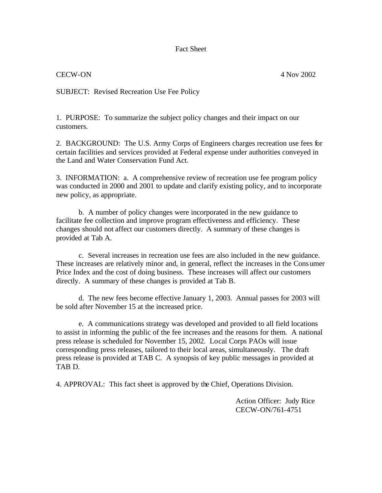Fact Sheet

### CECW-ON 4 Nov 2002

SUBJECT: Revised Recreation Use Fee Policy

1. PURPOSE: To summarize the subject policy changes and their impact on our customers.

2. BACKGROUND: The U.S. Army Corps of Engineers charges recreation use fees for certain facilities and services provided at Federal expense under authorities conveyed in the Land and Water Conservation Fund Act.

3. INFORMATION: a. A comprehensive review of recreation use fee program policy was conducted in 2000 and 2001 to update and clarify existing policy, and to incorporate new policy, as appropriate.

b. A number of policy changes were incorporated in the new guidance to facilitate fee collection and improve program effectiveness and efficiency. These changes should not affect our customers directly. A summary of these changes is provided at Tab A.

c. Several increases in recreation use fees are also included in the new guidance. These increases are relatively minor and, in general, reflect the increases in the Consumer Price Index and the cost of doing business. These increases will affect our customers directly. A summary of these changes is provided at Tab B.

d. The new fees become effective January 1, 2003. Annual passes for 2003 will be sold after November 15 at the increased price.

e. A communications strategy was developed and provided to all field locations to assist in informing the public of the fee increases and the reasons for them. A national press release is scheduled for November 15, 2002. Local Corps PAOs will issue corresponding press releases, tailored to their local areas, simultaneously. The draft press release is provided at TAB C. A synopsis of key public messages in provided at TAB D.

4. APPROVAL: This fact sheet is approved by the Chief, Operations Division.

Action Officer: Judy Rice CECW-ON/761-4751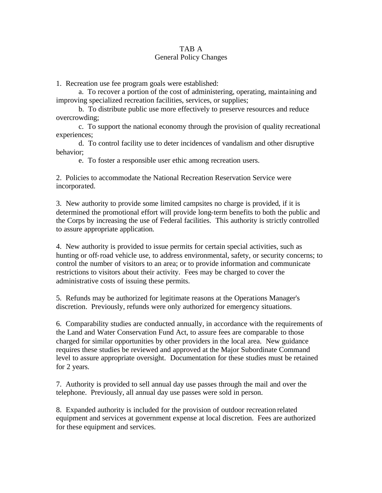## TAB A General Policy Changes

1. Recreation use fee program goals were established:

a. To recover a portion of the cost of administering, operating, maintaining and improving specialized recreation facilities, services, or supplies;

b. To distribute public use more effectively to preserve resources and reduce overcrowding;

c. To support the national economy through the provision of quality recreational experiences;

d. To control facility use to deter incidences of vandalism and other disruptive behavior;

e. To foster a responsible user ethic among recreation users.

2. Policies to accommodate the National Recreation Reservation Service were incorporated.

3. New authority to provide some limited campsites no charge is provided, if it is determined the promotional effort will provide long-term benefits to both the public and the Corps by increasing the use of Federal facilities. This authority is strictly controlled to assure appropriate application.

4. New authority is provided to issue permits for certain special activities, such as hunting or off-road vehicle use, to address environmental, safety, or security concerns; to control the number of visitors to an area; or to provide information and communicate restrictions to visitors about their activity. Fees may be charged to cover the administrative costs of issuing these permits.

5. Refunds may be authorized for legitimate reasons at the Operations Manager's discretion. Previously, refunds were only authorized for emergency situations.

6. Comparability studies are conducted annually, in accordance with the requirements of the Land and Water Conservation Fund Act, to assure fees are comparable to those charged for similar opportunities by other providers in the local area. New guidance requires these studies be reviewed and approved at the Major Subordinate Command level to assure appropriate oversight. Documentation for these studies must be retained for 2 years.

7. Authority is provided to sell annual day use passes through the mail and over the telephone. Previously, all annual day use passes were sold in person.

8. Expanded authority is included for the provision of outdoor recreation related equipment and services at government expense at local discretion. Fees are authorized for these equipment and services.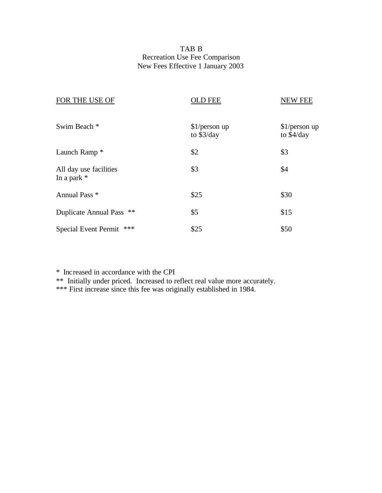# TAB B Recreation Use Fee Comparison New Fees Effective 1 January 2003

| FOR THE USE OF                          | <b>OLD FEE</b>               | <b>NEW FEE</b>               |
|-----------------------------------------|------------------------------|------------------------------|
| Swim Beach *                            | $$1/person$ up<br>to \$3/day | $$1/person$ up<br>to \$4/day |
| Launch Ramp <sup>*</sup>                | \$2                          | \$3                          |
| All day use facilities<br>In a park $*$ | \$3                          | \$4                          |
| Annual Pass *                           | \$25                         | \$30                         |
| Duplicate Annual Pass **                | \$5                          | \$15                         |
| ***<br>Special Event Permit             | \$25                         | \$50                         |

\* Increased in accordance with the CPI

\*\* Initially under priced. Increased to reflect real value more accurately.

\*\*\* First increase since this fee was originally established in 1984.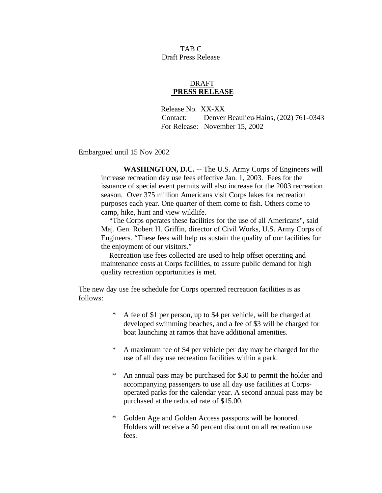TAB C Draft Press Release

### DRAFT  **PRESS RELEASE**

 Release No. XX-XX Contact: Denver Beaulieu-Hains, (202) 761-0343 For Release: November 15, 2002

Embargoed until 15 Nov 2002

**WASHINGTON, D.C. --** The U.S. Army Corps of Engineers will increase recreation day use fees effective Jan. 1, 2003. Fees for the issuance of special event permits will also increase for the 2003 recreation season. Over 375 million Americans visit Corps lakes for recreation purposes each year. One quarter of them come to fish. Others come to camp, hike, hunt and view wildlife.

 "The Corps operates these facilities for the use of all Americans", said Maj. Gen. Robert H. Griffin, director of Civil Works, U.S. Army Corps of Engineers. "These fees will help us sustain the quality of our facilities for the enjoyment of our visitors."

 Recreation use fees collected are used to help offset operating and maintenance costs at Corps facilities, to assure public demand for high quality recreation opportunities is met.

The new day use fee schedule for Corps operated recreation facilities is as follows:

- \* A fee of \$1 per person, up to \$4 per vehicle, will be charged at developed swimming beaches, and a fee of \$3 will be charged for boat launching at ramps that have additional amenities.
- \* A maximum fee of \$4 per vehicle per day may be charged for the use of all day use recreation facilities within a park.
- \* An annual pass may be purchased for \$30 to permit the holder and accompanying passengers to use all day use facilities at Corpsoperated parks for the calendar year. A second annual pass may be purchased at the reduced rate of \$15.00.
- \* Golden Age and Golden Access passports will be honored. Holders will receive a 50 percent discount on all recreation use fees.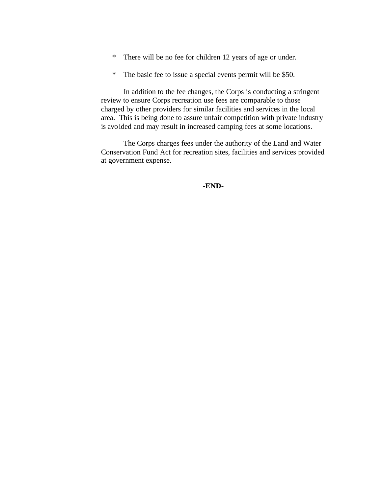- \* There will be no fee for children 12 years of age or under.
- \* The basic fee to issue a special events permit will be \$50.

In addition to the fee changes, the Corps is conducting a stringent review to ensure Corps recreation use fees are comparable to those charged by other providers for similar facilities and services in the local area. This is being done to assure unfair competition with private industry is avoided and may result in increased camping fees at some locations.

The Corps charges fees under the authority of the Land and Water Conservation Fund Act for recreation sites, facilities and services provided at government expense.

**-END-**